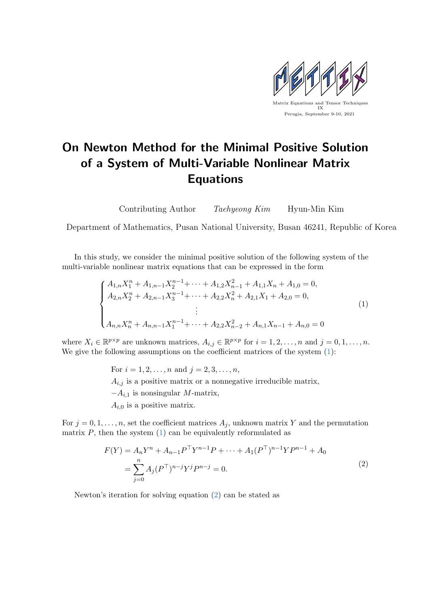

## On Newton Method for the Minimal Positive Solution of a System of Multi-Variable Nonlinear Matrix Equations

Contributing Author Taehyeong Kim Hyun-Min Kim

Department of Mathematics, Pusan National University, Busan 46241, Republic of Korea

In this study, we consider the minimal positive solution of the following system of the multi-variable nonlinear matrix equations that can be expressed in the form

<span id="page-0-0"></span>
$$
\begin{cases}\nA_{1,n}X_1^n + A_{1,n-1}X_2^{n-1} + \dots + A_{1,2}X_{n-1}^2 + A_{1,1}X_n + A_{1,0} = 0, \\
A_{2,n}X_2^n + A_{2,n-1}X_3^{n-1} + \dots + A_{2,2}X_n^2 + A_{2,1}X_1 + A_{2,0} = 0, \\
\vdots \\
A_{n,n}X_n^n + A_{n,n-1}X_1^{n-1} + \dots + A_{2,2}X_{n-2}^2 + A_{n,1}X_{n-1} + A_{n,0} = 0\n\end{cases}
$$
\n(1)

where  $X_i \in \mathbb{R}^{p \times p}$  are unknown matrices,  $A_{i,j} \in \mathbb{R}^{p \times p}$  for  $i = 1, 2, ..., n$  and  $j = 0, 1, ..., n$ . We give the following assumptions on the coefficient matrices of the system  $(1)$ :

> For  $i = 1, 2, ..., n$  and  $j = 2, 3, ..., n$ ,  $A_{i,j}$  is a positive matrix or a nonnegative irreducible matrix,  $-A_{i,1}$  is nonsingular M-matrix,  $A_{i,0}$  is a positive matrix.

For  $j = 0, 1, \ldots, n$ , set the coefficient matrices  $A_j$ , unknown matrix Y and the permutation matrix  $P$ , then the system  $(1)$  can be equivalently reformulated as

<span id="page-0-1"></span>
$$
F(Y) = A_n Y^n + A_{n-1} P^{\top} Y^{n-1} P + \dots + A_1 (P^{\top})^{n-1} Y P^{n-1} + A_0
$$
  
= 
$$
\sum_{j=0}^n A_j (P^{\top})^{n-j} Y^j P^{n-j} = 0.
$$
 (2)

Newton's iteration for solving equation [\(2\)](#page-0-1) can be stated as